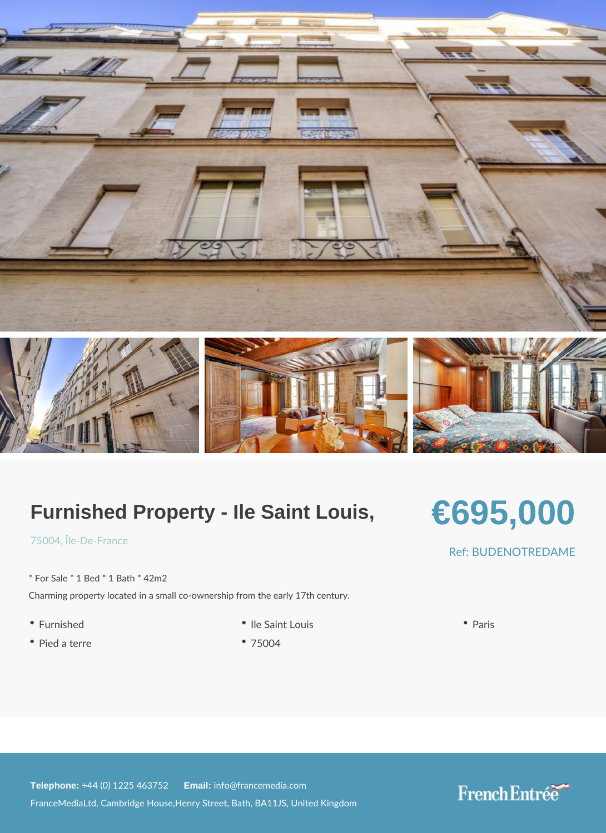## Furnished Property - Ile Saint Louis,

# €695,000

### $7500$  $||$ le-De-France

\* For Sale \* 1 Bed \* 1 Bath \* 42m2 Charming property located in a small co-ownership from the early 17th century.

- 
- Pied a terre 75004
- Furnished Ile Saint Louis Paris
	-

### Ref: BUDENOTRED.

Telephone:  $+44$  (0) 1225 46 Ematilian fo@francemedia.com FranceMediaLtd, Cambridge House,Henry Street, Bath, BA11JS, United Kingdom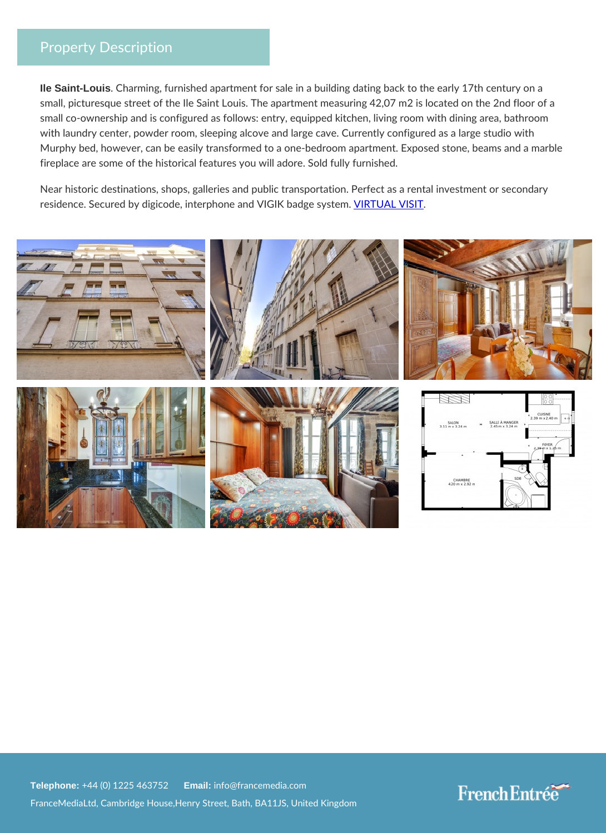### Property Description

Ile Saint-Louis . Charming, furnished apartment for sale in a building dating back small, picturesque street of the Ile Saint Louis. The apartment measuring 42 small co-ownership and is configured as follows: entry, equipped kitchen, liv with laundry center, powder room, sleeping alcove and large cave. Currently Murphy bed, however, can be easily transformed to a one-bedroom apartment fireplace are some of the historical features you will adore. Sold fully furnis

Near historic destinations, shops, galleries and public transportation. Perfed residence. Secured by digicode, interphone band UNIG MA Stoladge system.

Telephone:  $+44$  (0) 1225 46  $\frac{25}{100}$   $\frac{25}{100}$  francemedia.com FranceMediaLtd, Cambridge House,Henry Street, Bath, BA11JS, United Kingdom